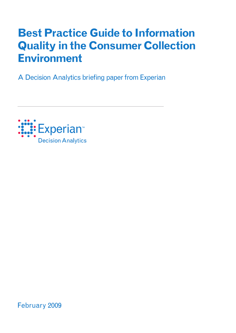# **Best Practice Guide to Information Quality in the Consumer Collection Environment**

A Decision Analytics briefing paper from Experian



February 2009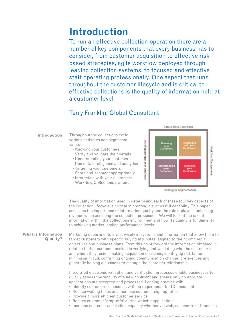## **Introduction**

To run an effective collection operation there are a number of key components that every business has to consider, from customer acquisition to effective risk based strategies, agile workflow deployed through leading collection systems, to focused and effective staff operating professionally. One aspect that runs throughout the customer lifecycle and is critical to effective collections is the quality of information held at a customer level.

### Terry Franklin, Global Consultant

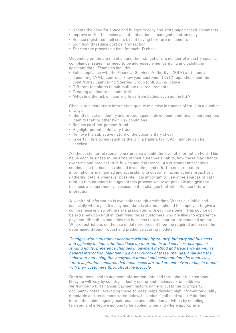- Negate the need for space and budget to copy and store paper-based documents
- Improve staff efficiencies as authentication is managed electronically
- Reduce registered mail costs by not having to return documents
- Significantly reduce cost per transaction
- Shorten the processing time for each ID check

Depending on the organisation and their obligations, a number of industry specific compliance issues may need to be addressed when verifying and validating applicant data. Examples include:

- Full compliance with the Financial Services Authority's (FSA) anti-money laundering (AML) controls, 'know your customer' (KYC) regulations and the Joint Money Laundering Steering Group (JMLSG) guidance
- Different templates to suit multiple risk requirements
- Creating an electronic audit trail
- Mitigating the risk of incurring fines from bodies such as the FSA

Checks to substantiate information quality minimise instances of fraud in a number of ways:

- Identity checks identify and protect against developed identities, impersonation, identity theft or other high risk conditions
- Reduce card-not-present fraud
- Highlight potential delivery fraud
- Remove the subjective nature of the documentary check
- In certain territories (such as the UK) a traders tax (VAT) number can be checked

As the customer relationship matures so should the level of information held. This helps each business to understand their customer's habits, how these may change over time and predict future buying and risk trends. As customer interactions continue, so the business should invest time and effort to ensure that its information is maintained and accurate, with customer facing agents proactively gathering details whenever possible. It is important to use other sources of data relating to customers to augment this process wherever possible and give the business a comprehensive assessment of changes that will influence future interaction.

A wealth of information is available through credit data. Where available, and especially where positive payment data is shared, it should be employed to give a comprehensive view of the risks associated with each customer. This source can be extremely powerful in identifying those customers who are likely to experience payment difficulties and allow the business to take appropriate remedial action. Where restrictions on the use of data are present then the required action can be determined through robust and predictive scoring models

Changes within customer accounts will vary by country, industry and business and typically include additional take up of products and services, changes in lending limits, preference changes in payment method and frequency as well as general interaction. Maintaining a clear record of these changes, analysing the behaviour and using this analysis to predict and accommodate the most likely future aspirations ensures that businesses are, and are perceived to be, 'in touch' with their customers throughout the lifecycle.

Data sources used to augment information obtained throughout the customer lifecycle will vary by country, industry sector and business. From address verification to full financial payment history, name of customer to property occupancy dates, leveraging these sources helps develop high information quality standards and, as demonstrated below, this adds significant value. Additional information aids ongoing maintenance and collection activities by enabling targeted and effective actions to be applied when and where appropriate.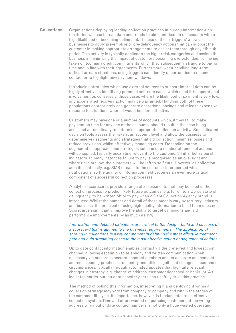Organisations deploying leading collection practices in bureau information-rich territories will use bureau data and trends to aid identification of accounts with a high likelihood of becoming delinquent. The use of these 'triggers' allows businesses to apply pre-emptive or pre-delinquency actions that can support the customer in making appropriate arrangements to assist them through any difficult period. This activity is typically applied to the higher risk categories and assists the business in minimising the impact of customers becoming overextended, i.e. having taken on too many credit commitments which they subsequently struggle to pay on time and in line with their agreements. Furthermore, when handling long-term difficult arrears situations, using triggers can identify opportunities to resume contact or to highlight new payment windows. **Collections**

> Introducing strategies which use external sources to support internal data can be highly effective in identifying potential self-cure cases which need little operational involvement or, conversely, those cases where the likelihood of payment is very low, and accelerated recovery action may be warranted. Handling both of these populations appropriately can generate operational savings and release expensive resource to situations where it would be more effective.

> Customers may have one or a number of accounts which, if they fail to make payment on time for any one of the accounts, should result in the case being assessed automatically to determine appropriate collection activity. Sophisticated decision tools assess the risks at an account level and allow the business to determine key segments and strategies that aid collection, minimise losses and reduce provisions, whilst effectively managing costs. Depending on the segmentation approach and strategies set, one or a number of remedial actions will be applied, typically escalating relevant to the customer's initial behavioural indicators. In many instances failure to pay is recognised as an oversight and, where risks are low, the customers will be left to self cure. However, as collection activities intensify, e.g. SMS or calls to the customer interspersed with notifications, so the quality of information held becomes an ever more critical component of successful collection processes.

> Analytical scorecards provide a range of assessments that may be used in the collection process to predict likely future outcomes, e.g. to roll to a worse state of delinquency, to be written off or to pay when a Debt Collection Agency brand is introduced. Whilst the number and detail of these models vary by territory, industry and business, the principal of using high quality information to build them does not. Scorecards significantly improve the ability to target campaigns and aid performance improvements by as much as 15%.

#### Information and detailed data items are critical to the design, build and success of <sup>a</sup> scorecard that is aligned to the business requirements. The application of scoring in collections is a key component in defining the most effective treatment path and aids streaming cases to the most effective action or sequence of actions.

Up to date contact information enables contact via the preferred and lowest cost channel, allowing escalation to telephony and written communication when necessary via numerous accurate contact numbers and an accurate and complete address. Leading practice is to identify and utilise significant changes in customer circumstances, typically through automated updates that facilitate relevant changes in strategy, e.g. change of address, customer deceased or bankrupt. As indicated earlier bureau data based triggers can usefully drive this practice.

The method of polling this information, interpreting it and deploying it within a collection strategy may vary from company to company and within the stages of the customer lifecycle. Its importance, however, is fundamental to an effective collection system. Time and effort wasted on pursuing customers at the wrong address or via out of date contact numbers is not only a huge wasted operating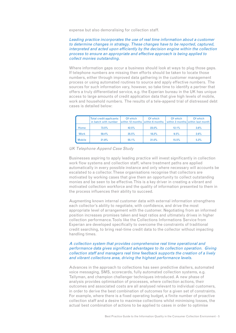expense but also demoralising for collection staff.

#### Leading practice incorporates the use of real time information about a customer to determine changes in strategy. These changes have to be reported, captured, interpreted and acted upon efficiently by the decision engine within the collection process to ensure an appropriate and effective approach is being applied to collect monies outstanding.

Where information gaps occur a business should look at ways to plug those gaps. If telephone numbers are missing then efforts should be taken to locate those numbers, either through improved data gathering in the customer management process or using automated routines to source and apply effective numbers. The sources for such information vary, however, so take time to identify a partner that offers a truly differentiated service, e.g. the Experian bureau in the UK has unique access to large amounts of credit application data that give high levels of mobile, work and household numbers. The results of a tele-append trial of distressed debt cases is detailed below:

|               | Total credit applicants<br>in batch with number | Of which<br>within 12 months within 6 months | Of which | Of which | Of which<br>within 3 months within last month |
|---------------|-------------------------------------------------|----------------------------------------------|----------|----------|-----------------------------------------------|
| Home          | 73.5%                                           | 42.5%                                        | $23.0\%$ | 12.1%    | $3.6\%$                                       |
| <b>Work</b>   | 59.4%                                           | 35.5%                                        | 18.2%    | 9.5%     | $2.6\%$                                       |
| <b>Mobile</b> | 21.9%                                           | 55.1%                                        | 31.0%    | 15.5%    | 5.3%                                          |

UK Telephone Append Case Study

Businesses aspiring to apply leading practice will invest significantly in collection work flow systems and collection staff, where treatment paths are applied automatically in every possible instance and only where necessary will accounts be escalated to a collector. These organisations recognise that collectors are motivated by working cases that give them an opportunity to collect outstanding monies and be seen to be effective. This is a key driver in creating a vibrant and motivated collection workforce and the quality of information presented to them in the process influences their ability to succeed.

Augmenting known internal customer data with external information strengthens each collector's ability to negotiate, with confidence, and drive the most appropriate level of arrangement with the customer. Negotiating from an informed position increases promises taken and kept ratios and ultimately drives in higher collection performance. Tools like the Collections Informations Service from Experian are developed specifically to overcome the constraints of traditional credit searching, to bring real-time credit data to the collector without impacting handling times.

#### A collection system that provides comprehensive real time operational and performance data gives significant advantages to its collection operation. Giving collection staff and managers real time feedback supports the creation of a lively and vibrant collections area, driving the highest performance levels.

Advances in the approach to collections has seen predictive diallers, automated voice messaging, SMS, scorecards, fully automated collection systems, e.g. Tallyman, and champion challenger techniques introduced. A new phase of analysis provides optimisation of processes, where collection actions, their outcomes and associated costs are all analysed relevant to individual customers, in order to derive the best combination of outcomes for a given set of constraints. For example, where there is a fixed operating budget, a finite number of proactive collection staff and a desire to maximise collections whilst minimising losses, the actual best combination of actions to be applied to cases in order to optimise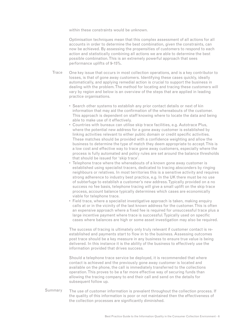within these constraints would be unknown.

Optimisation techniques mean that this complex assessment of all actions for all accounts in order to determine the best combination, given the constraints, can now be achieved. By assessing the propensities of customers to respond to each action and statistically combining all actions we are able to determine the best possible combination. This is an extremely powerful approach that sees performance uplifts of 9-15%.

- One key issue that occurs in most collection operations, and is a key contributor to losses, is that of gone away customers. Identifying these cases quickly, ideally automatically, and applying remedial action is crucial to support the business in dealing with the problem. The method for locating and tracing these customers will vary by region and below is an overview of the steps that are applied in leading practice organisations. Trace
	- Search other systems to establish any prior contact details or next of kin information that may aid the confirmation of the whereabouts of the customer. This approach is dependent on staff knowing where to locate the data and being able to make use of it effectively.
	- Countries with bureaux can utilise skip trace facilities, e.g. Autotrace Plus, where the potential new address for a gone away customer is established by linking activities relevant to either public domain or credit specific activities. These matches should be provided with a confidence weighting and allow the business to determine the type of match they deem appropriate to accept. This is a low cost and effective way to trace gone away customers, especially where the process is fully automated and policy rules are set around the balance thresholds that should be issued for 'skip trace'.
	- Telephone trace where the whereabouts of a known gone away customer is established using specialist tracers, dedicated to tracing absconders by ringing neighbours or relatives. In most territories this is a sensitive activity and requires strong adherence to industry best practice, e.g. In the UK there must be no use of subterfuge to establish a customer's new address. Typically provided on a no success no fee basis, telephone tracing will give a small uplift on the skip trace process, account balance typically determines which cases are economically viable for telephone trace.
	- Field trace, where a specialist investigative approach is taken, making enquiry calls at or in the vicinity of the last known address for the customer. This is often an expensive approach where a fixed fee is required for unsuccessful trace plus a large incentive payment where trace is successful. Typically used on specific cases where balances are high or some asset investigation may also be required.

The success of tracing is ultimately only truly relevant if customer contact is reestablished and payments start to flow in to the business. Assessing outcomes post trace should be a key measure in any business to ensure true value is being delivered. In this instance it is the ability of the business to effectively use the information provided that drives success.

Should a telephone trace service be deployed, it is recommended that where contact is achieved and the previously gone away customer is located and available on the phone, the call is immediately transferred to the collections operation. This proves to be a far more effective way of securing funds than allowing the tracing company to end their call and send on the details for subsequent follow up.

The use of customer information is prevalent throughout the collection process. If the quality of this information is poor or not maintained then the effectiveness of the collection processes are significantly diminished. Summary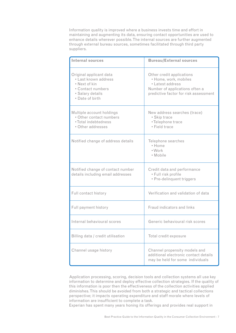Information quality is improved where a business invests time and effort in maintaining and augmenting its data, ensuring contact opportunities are used to enhance details wherever possible. The internal sources are further augmented through external bureau sources, sometimes facilitated through third party suppliers.

| <b>Internal sources</b>                                                                                                      | <b>Bureau/External sources</b>                                                                                                                    |  |
|------------------------------------------------------------------------------------------------------------------------------|---------------------------------------------------------------------------------------------------------------------------------------------------|--|
| Original applicant data<br>· Last known address<br>• Next of kin<br>• Contact numbers<br>· Salary details<br>• Date of birth | Other credit applications<br>· Home, work, mobiles<br>• Latest address<br>Number of applications often a<br>predictive factor for risk assessment |  |
| Multiple account holdings<br>· Other contact numbers<br>• Total indebtedness<br>• Other addresses                            | New address searches (trace)<br>• Skip trace<br>•Telephone trace<br>• Field trace                                                                 |  |
| Notified change of address details                                                                                           | Telephone searches<br>• Home<br>• Work<br>• Mobile                                                                                                |  |
| Notified change of contact number<br>details including email addresses                                                       | Credit data and performance<br>· Full risk profile<br>• Pre-delinquent triggers                                                                   |  |
| Full contact history                                                                                                         | Verification and validation of data                                                                                                               |  |
| Full payment history                                                                                                         | Fraud indicators and links                                                                                                                        |  |
| Internal behavioural scores                                                                                                  | Generic behavioural risk scores                                                                                                                   |  |
| Billing data / credit utilisation                                                                                            | Total credit exposure                                                                                                                             |  |
| Channel usage history                                                                                                        | Channel propensity models and<br>additional electronic contact details<br>may be held for some individuals                                        |  |

Application processing, scoring, decision tools and collection systems all use key information to determine and deploy effective collection strategies. If the quality of this information is poor then the effectiveness of the collection activities applied diminishes. This should be avoided from both a strategic and tactical collections perspective; it impacts operating expenditure and staff morale where levels of information are insufficient to complete a task.

Experian has spent many years honing its offerings and provides real support in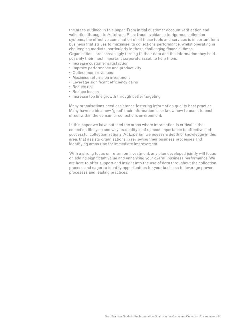the areas outlined in this paper. From initial customer account verification and validation through to Autotrace Plus; fraud avoidance to rigorous collection systems, the effective combination of all these tools and services is important for a business that strives to maximise its collections performance, whilst operating in challenging markets, particularly in these challenging financial times. Organisations are increasingly turning to their data and the information they hold possibly their most important corporate asset, to help them:

- Increase customer satisfaction
- Improve performance and productivity
- Collect more revenues
- Maximise returns on investment
- Leverage significant efficiency gains
- Reduce risk
- Reduce losses
- Increase top line growth through better targeting

Many organisations need assistance fostering information quality best practice. Many have no idea how 'good' their information is, or know how to use it to best effect within the consumer collections environment.

In this paper we have outlined the areas where information is critical in the collection lifecycle and why its quality is of upmost importance to effective and successful collection actions. At Experian we posses a depth of knowledge in this area, that assists organisations in reviewing their business processes and identifying areas ripe for immediate improvement.

With a strong focus on return on investment, any plan developed jointly will focus on adding significant value and enhancing your overall business performance. We are here to offer support and insight into the use of data throughout the collection process and eager to identify opportunities for your business to leverage proven processes and leading practices.